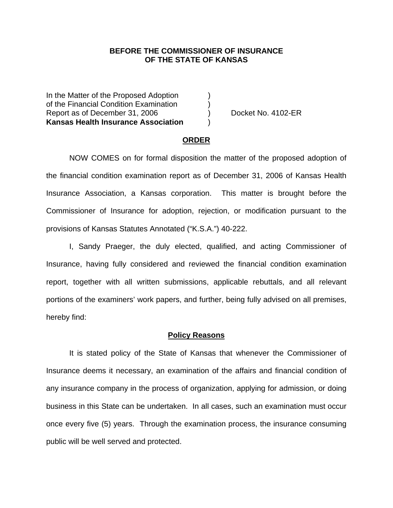### **BEFORE THE COMMISSIONER OF INSURANCE OF THE STATE OF KANSAS**

In the Matter of the Proposed Adoption of the Financial Condition Examination ) Report as of December 31, 2006 (a) Report as of December 31, 2006 **Kansas Health Insurance Association** )

#### **ORDER**

 NOW COMES on for formal disposition the matter of the proposed adoption of the financial condition examination report as of December 31, 2006 of Kansas Health Insurance Association, a Kansas corporation. This matter is brought before the Commissioner of Insurance for adoption, rejection, or modification pursuant to the provisions of Kansas Statutes Annotated ("K.S.A.") 40-222.

 I, Sandy Praeger, the duly elected, qualified, and acting Commissioner of Insurance, having fully considered and reviewed the financial condition examination report, together with all written submissions, applicable rebuttals, and all relevant portions of the examiners' work papers, and further, being fully advised on all premises, hereby find:

### **Policy Reasons**

 It is stated policy of the State of Kansas that whenever the Commissioner of Insurance deems it necessary, an examination of the affairs and financial condition of any insurance company in the process of organization, applying for admission, or doing business in this State can be undertaken. In all cases, such an examination must occur once every five (5) years. Through the examination process, the insurance consuming public will be well served and protected.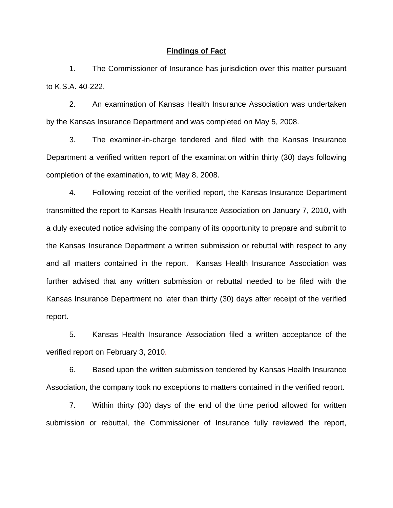### **Findings of Fact**

 1. The Commissioner of Insurance has jurisdiction over this matter pursuant to K.S.A. 40-222.

 2. An examination of Kansas Health Insurance Association was undertaken by the Kansas Insurance Department and was completed on May 5, 2008.

 3. The examiner-in-charge tendered and filed with the Kansas Insurance Department a verified written report of the examination within thirty (30) days following completion of the examination, to wit; May 8, 2008.

 4. Following receipt of the verified report, the Kansas Insurance Department transmitted the report to Kansas Health Insurance Association on January 7, 2010, with a duly executed notice advising the company of its opportunity to prepare and submit to the Kansas Insurance Department a written submission or rebuttal with respect to any and all matters contained in the report. Kansas Health Insurance Association was further advised that any written submission or rebuttal needed to be filed with the Kansas Insurance Department no later than thirty (30) days after receipt of the verified report.

 5. Kansas Health Insurance Association filed a written acceptance of the verified report on February 3, 2010.

6. Based upon the written submission tendered by Kansas Health Insurance Association, the company took no exceptions to matters contained in the verified report.

 7. Within thirty (30) days of the end of the time period allowed for written submission or rebuttal, the Commissioner of Insurance fully reviewed the report,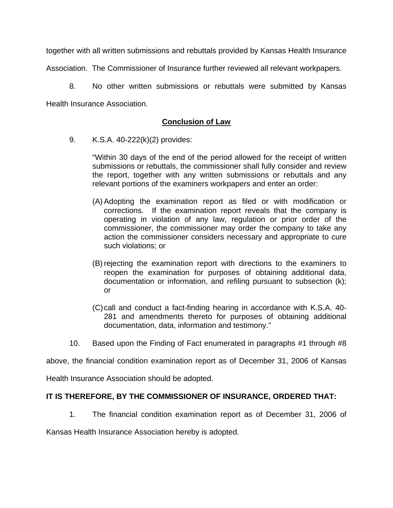together with all written submissions and rebuttals provided by Kansas Health Insurance

Association. The Commissioner of Insurance further reviewed all relevant workpapers.

 8. No other written submissions or rebuttals were submitted by Kansas Health Insurance Association.

# **Conclusion of Law**

9. K.S.A. 40-222(k)(2) provides:

"Within 30 days of the end of the period allowed for the receipt of written submissions or rebuttals, the commissioner shall fully consider and review the report, together with any written submissions or rebuttals and any relevant portions of the examiners workpapers and enter an order:

- (A) Adopting the examination report as filed or with modification or corrections. If the examination report reveals that the company is operating in violation of any law, regulation or prior order of the commissioner, the commissioner may order the company to take any action the commissioner considers necessary and appropriate to cure such violations; or
- (B) rejecting the examination report with directions to the examiners to reopen the examination for purposes of obtaining additional data, documentation or information, and refiling pursuant to subsection (k); or
- (C) call and conduct a fact-finding hearing in accordance with K.S.A. 40- 281 and amendments thereto for purposes of obtaining additional documentation, data, information and testimony."
- 10. Based upon the Finding of Fact enumerated in paragraphs #1 through #8

above, the financial condition examination report as of December 31, 2006 of Kansas

Health Insurance Association should be adopted.

## **IT IS THEREFORE, BY THE COMMISSIONER OF INSURANCE, ORDERED THAT:**

1. The financial condition examination report as of December 31, 2006 of

Kansas Health Insurance Association hereby is adopted.